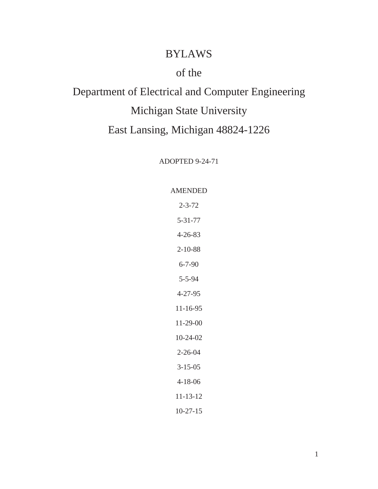# BYLAWS

# of the

# Department of Electrical and Computer Engineering Michigan State University East Lansing, Michigan 48824-1226

ADOPTED 9-24-71

### AMENDED

2-3-72 5-31-77 4-26-83 2-10-88 6-7-90 5-5-94 4-27-95 11-16-95 11-29-00 10-24-02 2-26-04 3-15-05 4-18-06 11-13-12 10-27-15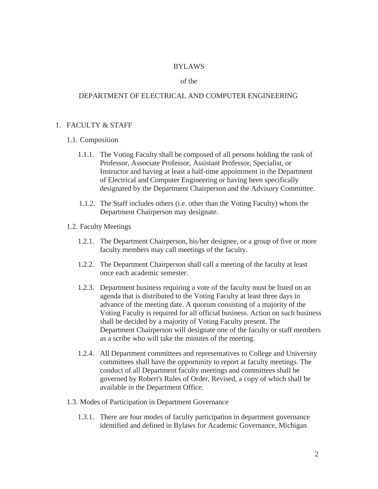#### BYLAWS

#### of the

#### DEPARTMENT OF ELECTRICAL AND COMPUTER ENGINEERING

#### 1. FACULTY & STAFF

#### 1.1. Composition

- 1.1.1. The Voting Faculty shall be composed of all persons holding the rank of Professor, Associate Professor, Assistant Professor, Specialist, or Instructor and having at least a half-time appointment in the Department of Electrical and Computer Engineering or having been specifically designated by the Department Chairperson and the Advisory Committee.
- 1.1.2. The Staff includes others (i.e. other than the Voting Faculty) whom the Department Chairperson may designate.
- 1.2. Faculty Meetings
	- 1.2.1. The Department Chairperson, his/her designee, or a group of five or more faculty members may call meetings of the faculty.
	- 1.2.2. The Department Chairperson shall call a meeting of the faculty at least once each academic semester.
	- 1.2.3. Department business requiring a vote of the faculty must be listed on an agenda that is distributed to the Voting Faculty at least three days in advance of the meeting date. A quorum consisting of a majority of the Voting Faculty is required for all official business. Action on such business shall be decided by a majority of Voting Faculty present. The Department Chairperson will designate one of the faculty or staff members as a scribe who will take the minutes of the meeting.
	- 1.2.4. All Department committees and representatives to College and University committees shall have the opportunity to report at faculty meetings. The conduct of all Department faculty meetings and committees shall be governed by Robert's Rules of Order, Revised, a copy of which shall be available in the Department Office.
- 1.3. Modes of Participation in Department Governance
	- 1.3.1. There are four modes of faculty participation in department governance identified and defined in Bylaws for Academic Governance, Michigan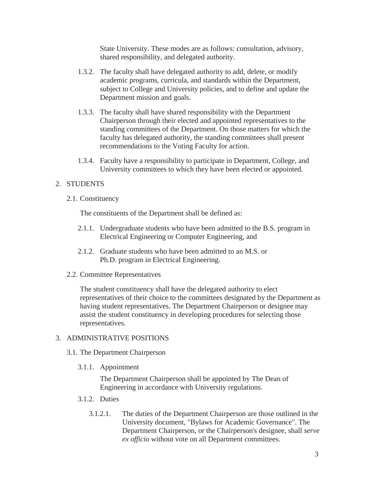State University. These modes are as follows: consultation, advisory, shared responsibility, and delegated authority.

- 1.3.2. The faculty shall have delegated authority to add, delete, or modify academic programs, curricula, and standards within the Department, subject to College and University policies, and to define and update the Department mission and goals.
- 1.3.3. The faculty shall have shared responsibility with the Department Chairperson through their elected and appointed representatives to the standing committees of the Department. On those matters for which the faculty has delegated authority, the standing committees shall present recommendations to the Voting Faculty for action.
- 1.3.4. Faculty have a responsibility to participate in Department, College, and University committees to which they have been elected or appointed.

# 2. STUDENTS

2.1. Constituency

The constituents of the Department shall be defined as:

- 2.1.1. Undergraduate students who have been admitted to the B.S. program in Electrical Engineering or Computer Engineering, and
- 2.1.2. Graduate students who have been admitted to an M.S. or Ph.D. program in Electrical Engineering.
- 2.2. Committee Representatives

The student constituency shall have the delegated authority to elect representatives of their choice to the committees designated by the Department as having student representatives. The Department Chairperson or designee may assist the student constituency in developing procedures for selecting those representatives.

# 3. ADMINISTRATIVE POSITIONS

- 3.1. The Department Chairperson
	- 3.1.1. Appointment

The Department Chairperson shall be appointed by The Dean of Engineering in accordance with University regulations.

- 3.1.2. Duties
	- 3.1.2.1. The duties of the Department Chairperson are those outlined in the University document, "Bylaws for Academic Governance". The Department Chairperson, or the Chairperson's designee, shall *serve ex officio* without vote on all Department committees.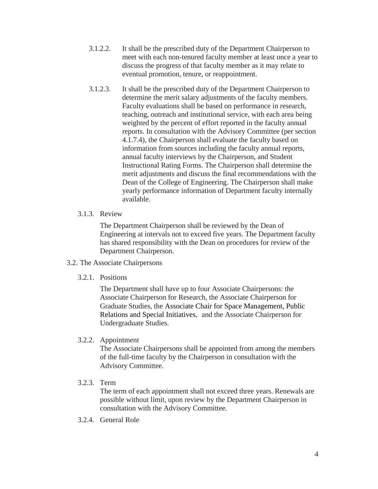- 3.1.2.2. It shall be the prescribed duty of the Department Chairperson to meet with each non-tenured faculty member at least once a year to discuss the progress of that faculty member as it may relate to eventual promotion, tenure, or reappointment.
- 3.1.2.3. It shall be the prescribed duty of the Department Chairperson to determine the merit salary adjustments of the faculty members. Faculty evaluations shall be based on performance in research, teaching, outreach and institutional service, with each area being weighted by the percent of effort reported in the faculty annual reports. In consultation with the Advisory Committee (per section 4.1.7.4), the Chairperson shall evaluate the faculty based on information from sources including the faculty annual reports, annual faculty interviews by the Chairperson, and Student Instructional Rating Forms. The Chairperson shall determine the merit adjustments and discuss the final recommendations with the Dean of the College of Engineering. The Chairperson shall make yearly performance information of Department faculty internally available.
- 3.1.3. Review

The Department Chairperson shall be reviewed by the Dean of Engineering at intervals not to exceed five years. The Department faculty has shared responsibility with the Dean on procedures for review of the Department Chairperson.

- 3.2. The Associate Chairpersons
	- 3.2.1. Positions

The Department shall have up to four Associate Chairpersons: the Associate Chairperson for Research, the Associate Chairperson for Graduate Studies, the Associate Chair for Space Management, Public Relations and Special Initiatives, and the Associate Chairperson for Undergraduate Studies.

3.2.2. Appointment

The Associate Chairpersons shall be appointed from among the members of the full-time faculty by the Chairperson in consultation with the Advisory Committee.

3.2.3. Term

The term of each appointment shall not exceed three years. Renewals are possible without limit, upon review by the Department Chairperson in consultation with the Advisory Committee.

3.2.4. General Role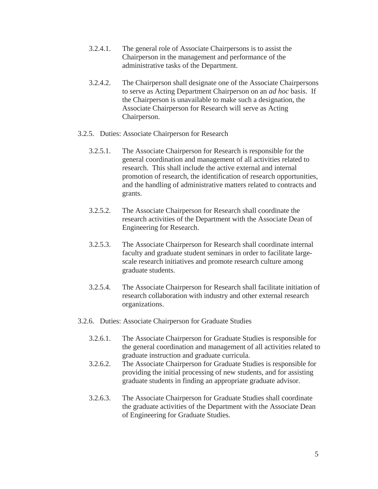- 3.2.4.1. The general role of Associate Chairpersons is to assist the Chairperson in the management and performance of the administrative tasks of the Department.
- 3.2.4.2. The Chairperson shall designate one of the Associate Chairpersons to serve as Acting Department Chairperson on an *ad hoc* basis. If the Chairperson is unavailable to make such a designation, the Associate Chairperson for Research will serve as Acting Chairperson.
- 3.2.5. Duties: Associate Chairperson for Research
	- 3.2.5.1. The Associate Chairperson for Research is responsible for the general coordination and management of all activities related to research. This shall include the active external and internal promotion of research, the identification of research opportunities, and the handling of administrative matters related to contracts and grants.
	- 3.2.5.2. The Associate Chairperson for Research shall coordinate the research activities of the Department with the Associate Dean of Engineering for Research.
	- 3.2.5.3. The Associate Chairperson for Research shall coordinate internal faculty and graduate student seminars in order to facilitate largescale research initiatives and promote research culture among graduate students.
	- 3.2.5.4. The Associate Chairperson for Research shall facilitate initiation of research collaboration with industry and other external research organizations.
- 3.2.6. Duties: Associate Chairperson for Graduate Studies
	- 3.2.6.1. The Associate Chairperson for Graduate Studies is responsible for the general coordination and management of all activities related to graduate instruction and graduate curricula.
	- 3.2.6.2. The Associate Chairperson for Graduate Studies is responsible for providing the initial processing of new students, and for assisting graduate students in finding an appropriate graduate advisor.
	- 3.2.6.3. The Associate Chairperson for Graduate Studies shall coordinate the graduate activities of the Department with the Associate Dean of Engineering for Graduate Studies.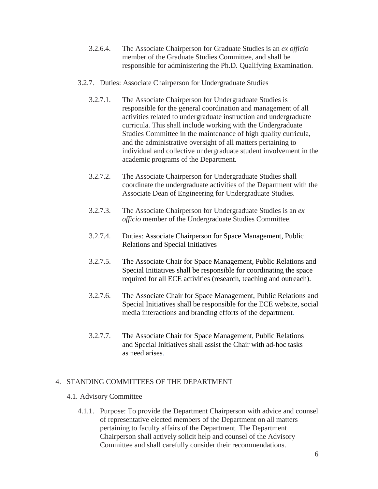- 3.2.6.4. The Associate Chairperson for Graduate Studies is an *ex officio* member of the Graduate Studies Committee, and shall be responsible for administering the Ph.D. Qualifying Examination.
- 3.2.7. Duties: Associate Chairperson for Undergraduate Studies
	- 3.2.7.1. The Associate Chairperson for Undergraduate Studies is responsible for the general coordination and management of all activities related to undergraduate instruction and undergraduate curricula. This shall include working with the Undergraduate Studies Committee in the maintenance of high quality curricula, and the administrative oversight of all matters pertaining to individual and collective undergraduate student involvement in the academic programs of the Department.
	- 3.2.7.2. The Associate Chairperson for Undergraduate Studies shall coordinate the undergraduate activities of the Department with the Associate Dean of Engineering for Undergraduate Studies.
	- 3.2.7.3. The Associate Chairperson for Undergraduate Studies is an *ex officio* member of the Undergraduate Studies Committee.
	- 3.2.7.4. Duties: Associate Chairperson for Space Management, Public Relations and Special Initiatives
	- 3.2.7.5. The Associate Chair for Space Management, Public Relations and Special Initiatives shall be responsible for coordinating the space required for all ECE activities (research, teaching and outreach).
	- 3.2.7.6. The Associate Chair for Space Management, Public Relations and Special Initiatives shall be responsible for the ECE website, social media interactions and branding efforts of the department.
	- 3.2.7.7. The Associate Chair for Space Management, Public Relations and Special Initiatives shall assist the Chair with ad-hoc tasks as need arises.

#### 4. STANDING COMMITTEES OF THE DEPARTMENT

#### 4.1. Advisory Committee

4.1.1. Purpose: To provide the Department Chairperson with advice and counsel of representative elected members of the Department on all matters pertaining to faculty affairs of the Department. The Department Chairperson shall actively solicit help and counsel of the Advisory Committee and shall carefully consider their recommendations.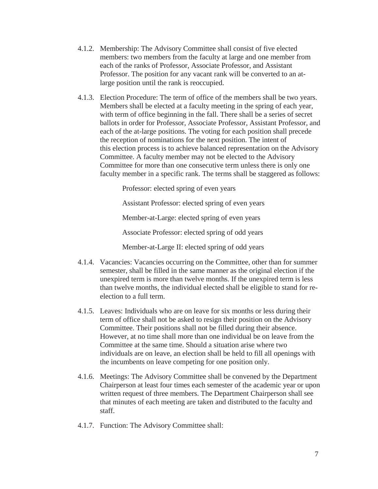- 4.1.2. Membership: The Advisory Committee shall consist of five elected members: two members from the faculty at large and one member from each of the ranks of Professor, Associate Professor, and Assistant Professor. The position for any vacant rank will be converted to an atlarge position until the rank is reoccupied.
- 4.1.3. Election Procedure: The term of office of the members shall be two years. Members shall be elected at a faculty meeting in the spring of each year, with term of office beginning in the fall. There shall be a series of secret ballots in order for Professor, Associate Professor, Assistant Professor, and each of the at-large positions. The voting for each position shall precede the reception of nominations for the next position. The intent of this election process is to achieve balanced representation on the Advisory Committee. A faculty member may not be elected to the Advisory Committee for more than one consecutive term unless there is only one faculty member in a specific rank. The terms shall be staggered as follows:

Professor: elected spring of even years

Assistant Professor: elected spring of even years

Member-at-Large: elected spring of even years

Associate Professor: elected spring of odd years

Member-at-Large II: elected spring of odd years

- 4.1.4. Vacancies: Vacancies occurring on the Committee, other than for summer semester, shall be filled in the same manner as the original election if the unexpired term is more than twelve months. If the unexpired term is less than twelve months, the individual elected shall be eligible to stand for reelection to a full term.
- 4.1.5. Leaves: Individuals who are on leave for six months or less during their term of office shall not be asked to resign their position on the Advisory Committee. Their positions shall not be filled during their absence. However, at no time shall more than one individual be on leave from the Committee at the same time. Should a situation arise where two individuals are on leave, an election shall be held to fill all openings with the incumbents on leave competing for one position only.
- 4.1.6. Meetings: The Advisory Committee shall be convened by the Department Chairperson at least four times each semester of the academic year or upon written request of three members. The Department Chairperson shall see that minutes of each meeting are taken and distributed to the faculty and staff.
- 4.1.7. Function: The Advisory Committee shall: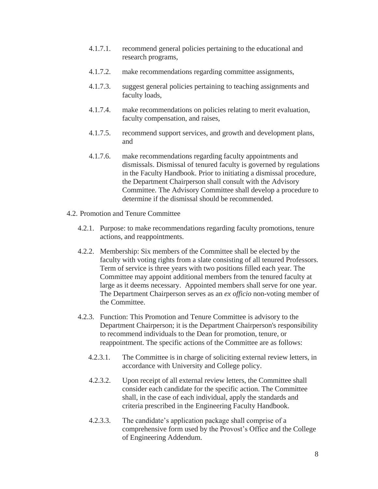- 4.1.7.1. recommend general policies pertaining to the educational and research programs,
- 4.1.7.2. make recommendations regarding committee assignments,
- 4.1.7.3. suggest general policies pertaining to teaching assignments and faculty loads,
- 4.1.7.4. make recommendations on policies relating to merit evaluation, faculty compensation, and raises,
- 4.1.7.5. recommend support services, and growth and development plans, and
- 4.1.7.6. make recommendations regarding faculty appointments and dismissals. Dismissal of tenured faculty is governed by regulations in the Faculty Handbook. Prior to initiating a dismissal procedure, the Department Chairperson shall consult with the Advisory Committee. The Advisory Committee shall develop a procedure to determine if the dismissal should be recommended.
- 4.2. Promotion and Tenure Committee
	- 4.2.1. Purpose: to make recommendations regarding faculty promotions, tenure actions, and reappointments.
	- 4.2.2. Membership: Six members of the Committee shall be elected by the faculty with voting rights from a slate consisting of all tenured Professors. Term of service is three years with two positions filled each year. The Committee may appoint additional members from the tenured faculty at large as it deems necessary. Appointed members shall serve for one year. The Department Chairperson serves as an *ex officio* non-voting member of the Committee.
	- 4.2.3. Function: This Promotion and Tenure Committee is advisory to the Department Chairperson; it is the Department Chairperson's responsibility to recommend individuals to the Dean for promotion, tenure, or reappointment. The specific actions of the Committee are as follows:
		- 4.2.3.1. The Committee is in charge of soliciting external review letters, in accordance with University and College policy.
		- 4.2.3.2. Upon receipt of all external review letters, the Committee shall consider each candidate for the specific action. The Committee shall, in the case of each individual, apply the standards and criteria prescribed in the Engineering Faculty Handbook.
		- 4.2.3.3. The candidate's application package shall comprise of a comprehensive form used by the Provost's Office and the College of Engineering Addendum.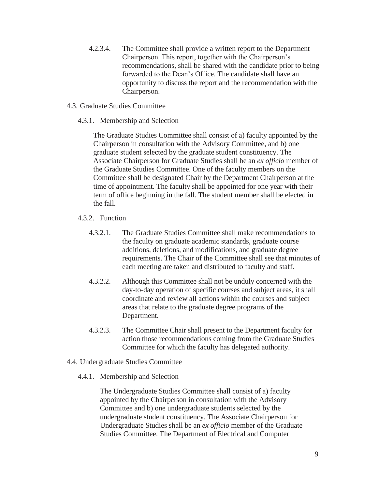- 4.2.3.4. The Committee shall provide a written report to the Department Chairperson. This report, together with the Chairperson's recommendations, shall be shared with the candidate prior to being forwarded to the Dean's Office. The candidate shall have an opportunity to discuss the report and the recommendation with the Chairperson.
- 4.3. Graduate Studies Committee
	- 4.3.1. Membership and Selection

The Graduate Studies Committee shall consist of a) faculty appointed by the Chairperson in consultation with the Advisory Committee, and b) one graduate student selected by the graduate student constituency. The Associate Chairperson for Graduate Studies shall be an *ex officio* member of the Graduate Studies Committee. One of the faculty members on the Committee shall be designated Chair by the Department Chairperson at the time of appointment. The faculty shall be appointed for one year with their term of office beginning in the fall. The student member shall be elected in the fall.

- 4.3.2. Function
	- 4.3.2.1. The Graduate Studies Committee shall make recommendations to the faculty on graduate academic standards, graduate course additions, deletions, and modifications, and graduate degree requirements. The Chair of the Committee shall see that minutes of each meeting are taken and distributed to faculty and staff.
	- 4.3.2.2. Although this Committee shall not be unduly concerned with the day-to-day operation of specific courses and subject areas, it shall coordinate and review all actions within the courses and subject areas that relate to the graduate degree programs of the Department.
	- 4.3.2.3. The Committee Chair shall present to the Department faculty for action those recommendations coming from the Graduate Studies Committee for which the faculty has delegated authority.
- 4.4. Undergraduate Studies Committee
	- 4.4.1. Membership and Selection

The Undergraduate Studies Committee shall consist of a) faculty appointed by the Chairperson in consultation with the Advisory Committee and b) one undergraduate students selected by the undergraduate student constituency. The Associate Chairperson for Undergraduate Studies shall be an *ex officio* member of the Graduate Studies Committee. The Department of Electrical and Computer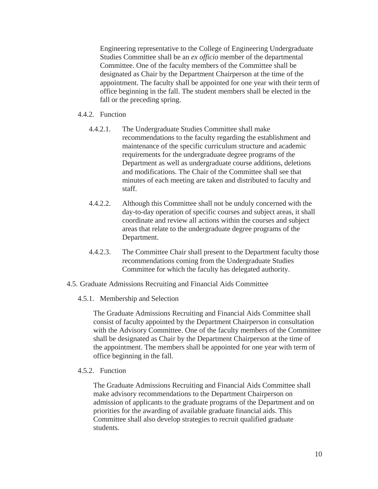Engineering representative to the College of Engineering Undergraduate Studies Committee shall be an *ex officio* member of the departmental Committee. One of the faculty members of the Committee shall be designated as Chair by the Department Chairperson at the time of the appointment. The faculty shall be appointed for one year with their term of office beginning in the fall. The student members shall be elected in the fall or the preceding spring.

### 4.4.2. Function

- 4.4.2.1. The Undergraduate Studies Committee shall make recommendations to the faculty regarding the establishment and maintenance of the specific curriculum structure and academic requirements for the undergraduate degree programs of the Department as well as undergraduate course additions, deletions and modifications. The Chair of the Committee shall see that minutes of each meeting are taken and distributed to faculty and staff.
- 4.4.2.2. Although this Committee shall not be unduly concerned with the day-to-day operation of specific courses and subject areas, it shall coordinate and review all actions within the courses and subject areas that relate to the undergraduate degree programs of the Department.
- 4.4.2.3. The Committee Chair shall present to the Department faculty those recommendations coming from the Undergraduate Studies Committee for which the faculty has delegated authority.
- 4.5. Graduate Admissions Recruiting and Financial Aids Committee
	- 4.5.1. Membership and Selection

The Graduate Admissions Recruiting and Financial Aids Committee shall consist of faculty appointed by the Department Chairperson in consultation with the Advisory Committee. One of the faculty members of the Committee shall be designated as Chair by the Department Chairperson at the time of the appointment. The members shall be appointed for one year with term of office beginning in the fall.

#### 4.5.2. Function

The Graduate Admissions Recruiting and Financial Aids Committee shall make advisory recommendations to the Department Chairperson on admission of applicants to the graduate programs of the Department and on priorities for the awarding of available graduate financial aids. This Committee shall also develop strategies to recruit qualified graduate students.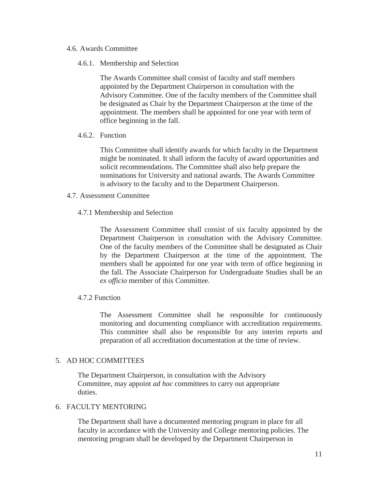- 4.6. Awards Committee
	- 4.6.1. Membership and Selection

The Awards Committee shall consist of faculty and staff members appointed by the Department Chairperson in consultation with the Advisory Committee. One of the faculty members of the Committee shall be designated as Chair by the Department Chairperson at the time of the appointment. The members shall be appointed for one year with term of office beginning in the fall.

4.6.2. Function

This Committee shall identify awards for which faculty in the Department might be nominated. It shall inform the faculty of award opportunities and solicit recommendations. The Committee shall also help prepare the nominations for University and national awards. The Awards Committee is advisory to the faculty and to the Department Chairperson.

- 4.7. Assessment Committee
	- 4.7.1 Membership and Selection

The Assessment Committee shall consist of six faculty appointed by the Department Chairperson in consultation with the Advisory Committee. One of the faculty members of the Committee shall be designated as Chair by the Department Chairperson at the time of the appointment. The members shall be appointed for one year with term of office beginning in the fall. The Associate Chairperson for Undergraduate Studies shall be an *ex officio* member of this Committee.

4.7.2 Function

The Assessment Committee shall be responsible for continuously monitoring and documenting compliance with accreditation requirements. This committee shall also be responsible for any interim reports and preparation of all accreditation documentation at the time of review.

#### 5. AD HOC COMMITTEES

The Department Chairperson, in consultation with the Advisory Committee, may appoint *ad hoc* committees to carry out appropriate duties.

#### 6. FACULTY MENTORING

The Department shall have a documented mentoring program in place for all faculty in accordance with the University and College mentoring policies. The mentoring program shall be developed by the Department Chairperson in